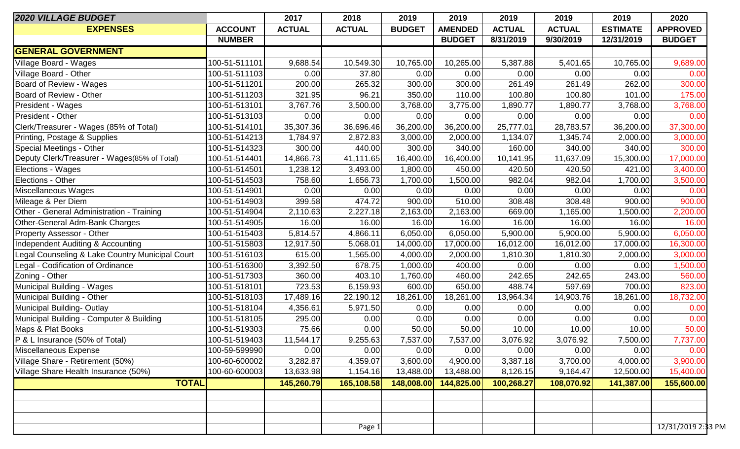| <b>2020 VILLAGE BUDGET</b>                      |                | 2017          | 2018          | 2019          | 2019           | 2019          | 2019          | 2019            | 2020               |
|-------------------------------------------------|----------------|---------------|---------------|---------------|----------------|---------------|---------------|-----------------|--------------------|
| <b>EXPENSES</b>                                 | <b>ACCOUNT</b> | <b>ACTUAL</b> | <b>ACTUAL</b> | <b>BUDGET</b> | <b>AMENDED</b> | <b>ACTUAL</b> | <b>ACTUAL</b> | <b>ESTIMATE</b> | <b>APPROVED</b>    |
|                                                 | <b>NUMBER</b>  |               |               |               | <b>BUDGET</b>  | 8/31/2019     | 9/30/2019     | 12/31/2019      | <b>BUDGET</b>      |
| <b>GENERAL GOVERNMENT</b>                       |                |               |               |               |                |               |               |                 |                    |
| Village Board - Wages                           | 100-51-511101  | 9,688.54      | 10,549.30     | 10,765.00     | 10,265.00      | 5,387.88      | 5,401.65      | 10,765.00       | 9,689.00           |
| Village Board - Other                           | 100-51-511103  | 0.00          | 37.80         | 0.00          | 0.00           | 0.00          | 0.00          | 0.00            | 0.00               |
| Board of Review - Wages                         | 100-51-511201  | 200.00        | 265.32        | 300.00        | 300.00         | 261.49        | 261.49        | 262.00          | 300.00             |
| Board of Review - Other                         | 100-51-511203  | 321.95        | 96.21         | 350.00        | 110.00         | 100.80        | 100.80        | 101.00          | 175.00             |
| President - Wages                               | 100-51-513101  | 3,767.76      | 3,500.00      | 3,768.00      | 3,775.00       | 1,890.77      | 1,890.77      | 3,768.00        | 3,768.00           |
| President - Other                               | 100-51-513103  | 0.00          | 0.00          | 0.00          | 0.00           | 0.00          | 0.00          | 0.00            | 0.00               |
| Clerk/Treasurer - Wages (85% of Total)          | 100-51-514101  | 35,307.36     | 36,696.46     | 36,200.00     | 36,200.00      | 25,777.01     | 28,783.57     | 36,200.00       | 37,300.00          |
| Printing, Postage & Supplies                    | 100-51-514213  | 1,784.97      | 2,872.83      | 3,000.00      | 2,000.00       | 1,134.07      | 1,345.74      | 2,000.00        | 3,000.00           |
| Special Meetings - Other                        | 100-51-514323  | 300.00        | 440.00        | 300.00        | 340.00         | 160.00        | 340.00        | 340.00          | 300.00             |
| Deputy Clerk/Treasurer - Wages(85% of Total)    | 100-51-514401  | 14,866.73     | 41,111.65     | 16,400.00     | 16,400.00      | 10,141.95     | 11,637.09     | 15,300.00       | 17,000.00          |
| <b>Elections - Wages</b>                        | 100-51-514501  | 1,238.12      | 3,493.00      | 1,800.00      | 450.00         | 420.50        | 420.50        | 421.00          | 3,400.00           |
| Elections - Other                               | 100-51-514503  | 758.60        | 1,656.73      | 1,700.00      | 1,500.00       | 982.04        | 982.04        | 1,700.00        | 3,500.00           |
| Miscellaneous Wages                             | 100-51-514901  | 0.00          | 0.00          | 0.00          | 0.00           | 0.00          | 0.00          | 0.00            | 0.00               |
| Mileage & Per Diem                              | 100-51-514903  | 399.58        | 474.72        | 900.00        | 510.00         | 308.48        | 308.48        | 900.00          | 900.00             |
| Other - General Administration - Training       | 100-51-514904  | 2,110.63      | 2,227.18      | 2,163.00      | 2,163.00       | 669.00        | 1,165.00      | 1,500.00        | 2,200.00           |
| Other-General Adm-Bank Charges                  | 100-51-514905  | 16.00         | 16.00         | 16.00         | 16.00          | 16.00         | 16.00         | 16.00           | 16.00              |
| <b>Property Assessor - Other</b>                | 100-51-515403  | 5,814.57      | 4,866.11      | 6,050.00      | 6,050.00       | 5,900.00      | 5,900.00      | 5,900.00        | 6,050.00           |
| Independent Auditing & Accounting               | 100-51-515803  | 12,917.50     | 5,068.01      | 14,000.00     | 17,000.00      | 16,012.00     | 16,012.00     | 17,000.00       | 16,300.00          |
| Legal Counseling & Lake Country Municipal Court | 100-51-516103  | 615.00        | 1,565.00      | 4,000.00      | 2,000.00       | 1,810.30      | 1,810.30      | 2,000.00        | 3,000.00           |
| Legal - Codification of Ordinance               | 100-51-516300  | 3,392.50      | 678.75        | 1,000.00      | 400.00         | 0.00          | 0.00          | 0.00            | 1,500.00           |
| Zoning - Other                                  | 100-51-517303  | 360.00        | 403.10        | 1,760.00      | 460.00         | 242.65        | 242.65        | 243.00          | 560.00             |
| Municipal Building - Wages                      | 100-51-518101  | 723.53        | 6,159.93      | 600.00        | 650.00         | 488.74        | 597.69        | 700.00          | 823.00             |
| Municipal Building - Other                      | 100-51-518103  | 17,489.16     | 22,190.12     | 18,261.00     | 18,261.00      | 13,964.34     | 14,903.76     | 18,261.00       | 18,732.00          |
| Municipal Building-Outlay                       | 100-51-518104  | 4,356.61      | 5,971.50      | 0.00          | 0.00           | 0.00          | 0.00          | 0.00            | 0.00               |
| Municipal Building - Computer & Building        | 100-51-518105  | 295.00        | 0.00          | 0.00          | 0.00           | 0.00          | 0.00          | 0.00            | 0.00               |
| Maps & Plat Books                               | 100-51-519303  | 75.66         | 0.00          | 50.00         | 50.00          | 10.00         | 10.00         | 10.00           | 50.00              |
| P & L Insurance (50% of Total)                  | 100-51-519403  | 11,544.17     | 9,255.63      | 7,537.00      | 7,537.00       | 3,076.92      | 3,076.92      | 7,500.00        | 7,737.00           |
| Miscellaneous Expense                           | 100-59-599990  | 0.00          | 0.00          | 0.00          | 0.00           | 0.00          | 0.00          | 0.00            | 0.00               |
| Village Share - Retirement (50%)                | 100-60-600002  | 3,282.87      | 4,359.07      | 3,600.00      | 4,900.00       | 3,387.18      | 3,700.00      | 4,000.00        | 3,900.00           |
| Village Share Health Insurance (50%)            | 100-60-600003  | 13,633.98     | 1,154.16      | 13,488.00     | 13,488.00      | 8,126.15      | 9,164.47      | 12,500.00       | 15,400.00          |
| <b>TOTAL</b>                                    |                | 145,260.79    | 165,108.58    | 148,008.00    | 144,825.00     | 100,268.27    | 108,070.92    | 141,387.00      | 155,600.00         |
|                                                 |                |               |               |               |                |               |               |                 |                    |
|                                                 |                |               |               |               |                |               |               |                 |                    |
|                                                 |                |               |               |               |                |               |               |                 |                    |
|                                                 |                |               | Page 1        |               |                |               |               |                 | 12/31/2019 2:33 PM |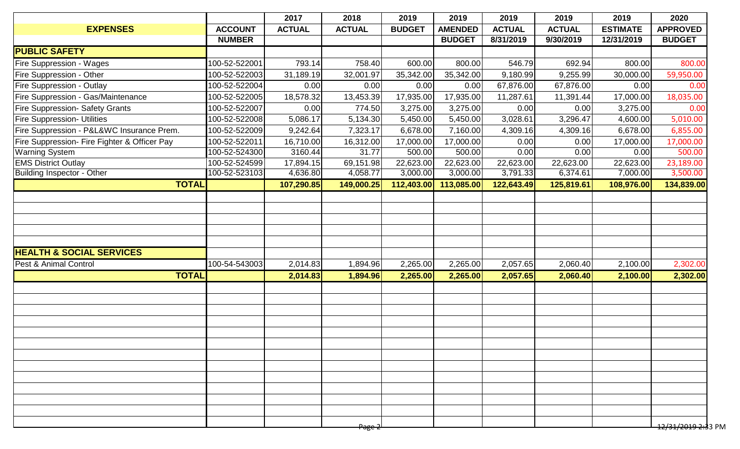|                                              |                | 2017          | 2018              | 2019          | 2019           | 2019          | 2019          | 2019            | 2020                           |
|----------------------------------------------|----------------|---------------|-------------------|---------------|----------------|---------------|---------------|-----------------|--------------------------------|
| <b>EXPENSES</b>                              | <b>ACCOUNT</b> | <b>ACTUAL</b> | <b>ACTUAL</b>     | <b>BUDGET</b> | <b>AMENDED</b> | <b>ACTUAL</b> | <b>ACTUAL</b> | <b>ESTIMATE</b> | <b>APPROVED</b>                |
|                                              | <b>NUMBER</b>  |               |                   |               | <b>BUDGET</b>  | 8/31/2019     | 9/30/2019     | 12/31/2019      | <b>BUDGET</b>                  |
| <b>PUBLIC SAFETY</b>                         |                |               |                   |               |                |               |               |                 |                                |
| <b>Fire Suppression - Wages</b>              | 100-52-522001  | 793.14        | 758.40            | 600.00        | 800.00         | 546.79        | 692.94        | 800.00          | 800.00                         |
| <b>Fire Suppression - Other</b>              | 100-52-522003  | 31,189.19     | 32,001.97         | 35,342.00     | 35,342.00      | 9,180.99      | 9,255.99      | 30,000.00       | 59,950.00                      |
| <b>Fire Suppression - Outlay</b>             | 100-52-522004  | 0.00          | 0.00              | 0.00          | 0.00           | 67,876.00     | 67,876.00     | 0.00            | 0.00                           |
| Fire Suppression - Gas/Maintenance           | 100-52-522005  | 18,578.32     | 13,453.39         | 17,935.00     | 17,935.00      | 11,287.61     | 11,391.44     | 17,000.00       | 18,035.00                      |
| <b>Fire Suppression- Safety Grants</b>       | 100-52-522007  | 0.00          | 774.50            | 3,275.00      | 3,275.00       | 0.00          | 0.00          | 3,275.00        | 0.00                           |
| <b>Fire Suppression- Utilities</b>           | 100-52-522008  | 5,086.17      | 5,134.30          | 5,450.00      | 5,450.00       | 3,028.61      | 3,296.47      | 4,600.00        | 5,010.00                       |
| Fire Suppression - P&L&WC Insurance Prem.    | 100-52-522009  | 9,242.64      | 7,323.17          | 6,678.00      | 7,160.00       | 4,309.16      | 4,309.16      | 6,678.00        | 6,855.00                       |
| Fire Suppression- Fire Fighter & Officer Pay | 100-52-522011  | 16,710.00     | 16,312.00         | 17,000.00     | 17,000.00      | 0.00          | 0.00          | 17,000.00       | 17,000.00                      |
| <b>Warning System</b>                        | 100-52-524300  | 3160.44       | 31.77             | 500.00        | 500.00         | 0.00          | 0.00          | 0.00            | 500.00                         |
| <b>EMS District Outlay</b>                   | 100-52-524599  | 17,894.15     | 69,151.98         | 22,623.00     | 22,623.00      | 22,623.00     | 22,623.00     | 22,623.00       | 23,189.00                      |
| Building Inspector - Other                   | 100-52-523103  | 4,636.80      | 4,058.77          | 3,000.00      | 3,000.00       | 3,791.33      | 6,374.61      | 7,000.00        | 3,500.00                       |
| <b>TOTAL</b>                                 |                | 107,290.85    | 149,000.25        | 112,403.00    | 113,085.00     | 122,643.49    | 125,819.61    | 108,976.00      | 134,839.00                     |
|                                              |                |               |                   |               |                |               |               |                 |                                |
|                                              |                |               |                   |               |                |               |               |                 |                                |
|                                              |                |               |                   |               |                |               |               |                 |                                |
|                                              |                |               |                   |               |                |               |               |                 |                                |
|                                              |                |               |                   |               |                |               |               |                 |                                |
| <b>HEALTH &amp; SOCIAL SERVICES</b>          |                |               |                   |               |                |               |               |                 |                                |
| Pest & Animal Control                        | 100-54-543003  | 2,014.83      | 1,894.96          | 2,265.00      | 2,265.00       | 2,057.65      | 2,060.40      | 2,100.00        | 2,302.00                       |
| <b>TOTAL</b>                                 |                | 2,014.83      | 1,894.96          | 2,265.00      | 2,265.00       | 2,057.65      | 2,060.40      | 2,100.00        | 2,302.00                       |
|                                              |                |               |                   |               |                |               |               |                 |                                |
|                                              |                |               |                   |               |                |               |               |                 |                                |
|                                              |                |               |                   |               |                |               |               |                 |                                |
|                                              |                |               |                   |               |                |               |               |                 |                                |
|                                              |                |               |                   |               |                |               |               |                 |                                |
|                                              |                |               |                   |               |                |               |               |                 |                                |
|                                              |                |               |                   |               |                |               |               |                 |                                |
|                                              |                |               |                   |               |                |               |               |                 |                                |
|                                              |                |               |                   |               |                |               |               |                 |                                |
|                                              |                |               |                   |               |                |               |               |                 |                                |
|                                              |                |               |                   |               |                |               |               |                 |                                |
|                                              |                |               |                   |               |                |               |               |                 |                                |
|                                              |                |               |                   |               |                |               |               |                 |                                |
|                                              |                |               | <del>Page 2</del> |               |                |               |               |                 | <del>12/31/2019 2:3</del> 3 PM |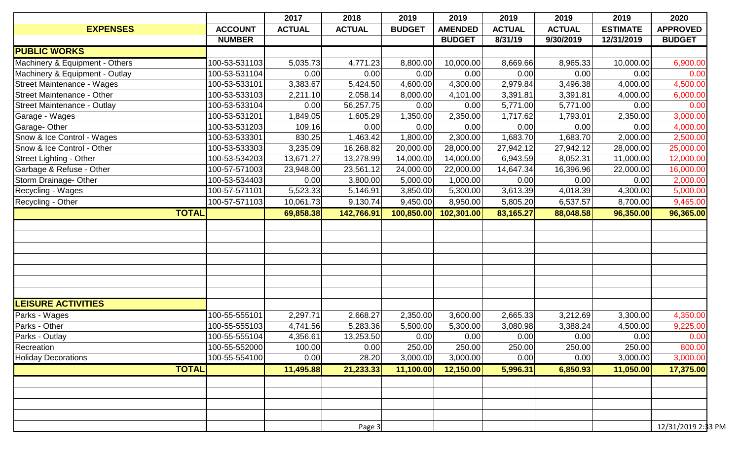|                                |                | 2017          | 2018          | 2019          | 2019           | 2019          | 2019          | 2019            | 2020               |
|--------------------------------|----------------|---------------|---------------|---------------|----------------|---------------|---------------|-----------------|--------------------|
| <b>EXPENSES</b>                | <b>ACCOUNT</b> | <b>ACTUAL</b> | <b>ACTUAL</b> | <b>BUDGET</b> | <b>AMENDED</b> | <b>ACTUAL</b> | <b>ACTUAL</b> | <b>ESTIMATE</b> | <b>APPROVED</b>    |
|                                | <b>NUMBER</b>  |               |               |               | <b>BUDGET</b>  | 8/31/19       | 9/30/2019     | 12/31/2019      | <b>BUDGET</b>      |
| <b>PUBLIC WORKS</b>            |                |               |               |               |                |               |               |                 |                    |
| Machinery & Equipment - Others | 100-53-531103  | 5,035.73      | 4,771.23      | 8,800.00      | 10,000.00      | 8,669.66      | 8,965.33      | 10,000.00       | 6,900.00           |
| Machinery & Equipment - Outlay | 100-53-531104  | 0.00          | 0.00          | 0.00          | 0.00           | 0.00          | 0.00          | 0.00            | 0.00               |
| Street Maintenance - Wages     | 100-53-533101  | 3,383.67      | 5,424.50      | 4,600.00      | 4,300.00       | 2,979.84      | 3,496.38      | 4,000.00        | 4,500.00           |
| Street Maintenance - Other     | 100-53-533103  | 2,211.10      | 2,058.14      | 8,000.00      | 4,101.00       | 3,391.81      | 3,391.81      | 4,000.00        | 6,000.00           |
| Street Maintenance - Outlay    | 100-53-533104  | 0.00          | 56,257.75     | 0.00          | 0.00           | 5,771.00      | 5,771.00      | 0.00            | 0.00               |
| Garage - Wages                 | 100-53-531201  | 1,849.05      | 1,605.29      | 1,350.00      | 2,350.00       | 1,717.62      | 1,793.01      | 2,350.00        | 3,000.00           |
| Garage- Other                  | 100-53-531203  | 109.16        | 0.00          | 0.00          | 0.00           | 0.00          | 0.00          | 0.00            | 4,000.00           |
| Snow & Ice Control - Wages     | 100-53-533301  | 830.25        | 1,463.42      | 1,800.00      | 2,300.00       | 1,683.70      | 1,683.70      | 2,000.00        | 2,500.00           |
| Snow & Ice Control - Other     | 100-53-533303  | 3,235.09      | 16,268.82     | 20,000.00     | 28,000.00      | 27,942.12     | 27,942.12     | 28,000.00       | 25,000.00          |
| Street Lighting - Other        | 100-53-534203  | 13,671.27     | 13,278.99     | 14,000.00     | 14,000.00      | 6,943.59      | 8,052.31      | 11,000.00       | 12,000.00          |
| Garbage & Refuse - Other       | 100-57-571003  | 23,948.00     | 23,561.12     | 24,000.00     | 22,000.00      | 14,647.34     | 16,396.96     | 22,000.00       | 16,000.00          |
| Storm Drainage- Other          | 100-53-534403  | 0.00          | 3,800.00      | 5,000.00      | 1,000.00       | 0.00          | 0.00          | 0.00            | 2,000.00           |
| Recycling - Wages              | 100-57-571101  | 5,523.33      | 5,146.91      | 3,850.00      | 5,300.00       | 3,613.39      | 4,018.39      | 4,300.00        | 5,000.00           |
| Recycling - Other              | 100-57-571103  | 10,061.73     | 9,130.74      | 9,450.00      | 8,950.00       | 5,805.20      | 6,537.57      | 8,700.00        | 9,465.00           |
| <b>TOTAL</b>                   |                | 69,858.38     | 142,766.91    | 100,850.00    | 102,301.00     | 83,165.27     | 88,048.58     | 96,350.00       | 96,365.00          |
|                                |                |               |               |               |                |               |               |                 |                    |
|                                |                |               |               |               |                |               |               |                 |                    |
|                                |                |               |               |               |                |               |               |                 |                    |
|                                |                |               |               |               |                |               |               |                 |                    |
|                                |                |               |               |               |                |               |               |                 |                    |
|                                |                |               |               |               |                |               |               |                 |                    |
|                                |                |               |               |               |                |               |               |                 |                    |
| <b>LEISURE ACTIVITIES</b>      |                |               |               |               |                |               |               |                 |                    |
|                                |                |               |               |               |                |               |               |                 |                    |
| Parks - Wages<br>Parks - Other | 100-55-555101  | 2,297.71      | 2,668.27      | 2,350.00      | 3,600.00       | 2,665.33      | 3,212.69      | 3,300.00        | 4,350.00           |
|                                | 100-55-555103  | 4,741.56      | 5,283.36      | 5,500.00      | 5,300.00       | 3,080.98      | 3,388.24      | 4,500.00        | 9,225.00           |
| Parks - Outlay                 | 100-55-555104  | 4,356.61      | 13,253.50     | 0.00          | 0.00           | 0.00          | 0.00          | 0.00            | 0.00               |
| Recreation                     | 100-55-552000  | 100.00        | 0.00          | 250.00        | 250.00         | 250.00        | 250.00        | 250.00          | 800.00             |
| <b>Holiday Decorations</b>     | 100-55-554100  | 0.00          | 28.20         | 3,000.00      | 3,000.00       | 0.00          | 0.00          | 3,000.00        | 3,000.00           |
| <b>TOTAL</b>                   |                | 11,495.88     | 21,233.33     | 11,100.00     | 12,150.00      | 5,996.31      | 6,850.93      | 11,050.00       | 17,375.00          |
|                                |                |               |               |               |                |               |               |                 |                    |
|                                |                |               |               |               |                |               |               |                 |                    |
|                                |                |               |               |               |                |               |               |                 |                    |
|                                |                |               |               |               |                |               |               |                 |                    |
|                                |                |               | Page 3        |               |                |               |               |                 | 12/31/2019 2:33 PM |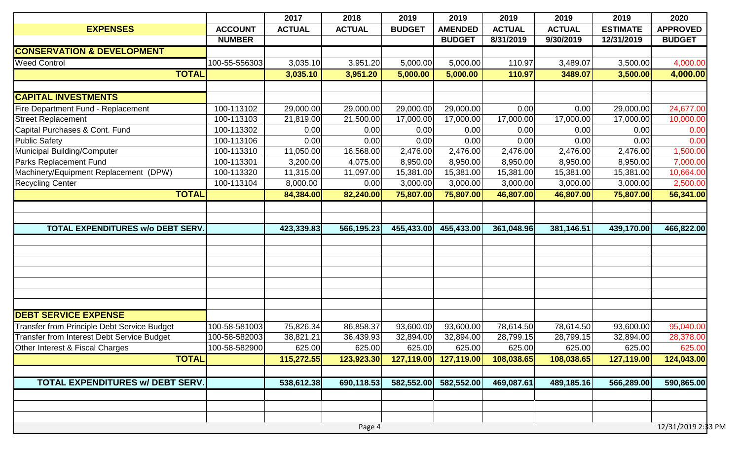|                                                    |                | 2017          | 2018          | 2019          | 2019           | 2019          | 2019          | 2019            | 2020               |
|----------------------------------------------------|----------------|---------------|---------------|---------------|----------------|---------------|---------------|-----------------|--------------------|
| <b>EXPENSES</b>                                    | <b>ACCOUNT</b> | <b>ACTUAL</b> | <b>ACTUAL</b> | <b>BUDGET</b> | <b>AMENDED</b> | <b>ACTUAL</b> | <b>ACTUAL</b> | <b>ESTIMATE</b> | <b>APPROVED</b>    |
|                                                    | <b>NUMBER</b>  |               |               |               | <b>BUDGET</b>  | 8/31/2019     | 9/30/2019     | 12/31/2019      | <b>BUDGET</b>      |
| <b>CONSERVATION &amp; DEVELOPMENT</b>              |                |               |               |               |                |               |               |                 |                    |
| <b>Weed Control</b>                                | 100-55-556303  | 3,035.10      | 3,951.20      | 5,000.00      | 5,000.00       | 110.97        | 3,489.07      | 3,500.00        | 4,000.00           |
| <b>TOTAL</b>                                       |                | 3,035.10      | 3,951.20      | 5,000.00      | 5,000.00       | 110.97        | 3489.07       | 3,500.00        | 4,000.00           |
| <b>CAPITAL INVESTMENTS</b>                         |                |               |               |               |                |               |               |                 |                    |
| Fire Department Fund - Replacement                 | 100-113102     | 29,000.00     | 29,000.00     | 29,000.00     | 29,000.00      | 0.00          | 0.00          | 29,000.00       | 24,677.00          |
| <b>Street Replacement</b>                          | 100-113103     | 21,819.00     | 21,500.00     | 17,000.00     | 17,000.00      | 17,000.00     | 17,000.00     | 17,000.00       | 10,000.00          |
| Capital Purchases & Cont. Fund                     | 100-113302     | 0.00          | 0.00          | 0.00          | 0.00           | 0.00          | 0.00          | 0.00            | 0.00               |
| <b>Public Safety</b>                               | 100-113106     | 0.00          | 0.00          | 0.00          | 0.00           | 0.00          | 0.00          | 0.00            | 0.00               |
| Municipal Building/Computer                        | 100-113310     | 11,050.00     | 16,568.00     | 2,476.00      | 2,476.00       | 2,476.00      | 2,476.00      | 2,476.00        | 1,500.00           |
| Parks Replacement Fund                             | 100-113301     | 3,200.00      | 4,075.00      | 8,950.00      | 8,950.00       | 8,950.00      | 8,950.00      | 8,950.00        | 7,000.00           |
| Machinery/Equipment Replacement (DPW)              | 100-113320     | 11,315.00     | 11,097.00     | 15,381.00     | 15,381.00      | 15,381.00     | 15,381.00     | 15,381.00       | 10,664.00          |
| <b>Recycling Center</b>                            | 100-113104     | 8,000.00      | 0.00          | 3,000.00      | 3,000.00       | 3,000.00      | 3,000.00      | 3,000.00        | 2,500.00           |
| <b>TOTAL</b>                                       |                | 84,384.00     | 82,240.00     | 75,807.00     | 75,807.00      | 46,807.00     | 46,807.00     | 75,807.00       | 56,341.00          |
|                                                    |                |               |               |               |                |               |               |                 |                    |
| <b>TOTAL EXPENDITURES W/o DEBT SERV.</b>           |                | 423,339.83    | 566,195.23    | 455,433.00    | 455,433.00     | 361,048.96    | 381,146.51    | 439,170.00      | 466,822.00         |
|                                                    |                |               |               |               |                |               |               |                 |                    |
|                                                    |                |               |               |               |                |               |               |                 |                    |
|                                                    |                |               |               |               |                |               |               |                 |                    |
|                                                    |                |               |               |               |                |               |               |                 |                    |
|                                                    |                |               |               |               |                |               |               |                 |                    |
|                                                    |                |               |               |               |                |               |               |                 |                    |
|                                                    |                |               |               |               |                |               |               |                 |                    |
| <b>DEBT SERVICE EXPENSE</b>                        |                |               |               |               |                |               |               |                 |                    |
| <b>Transfer from Principle Debt Service Budget</b> | 100-58-581003  | 75,826.34     | 86,858.37     | 93,600.00     | 93,600.00      | 78,614.50     | 78,614.50     | 93,600.00       | 95,040.00          |
| <b>Transfer from Interest Debt Service Budget</b>  | 100-58-582003  | 38,821.21     | 36,439.93     | 32,894.00     | 32,894.00      | 28,799.15     | 28,799.15     | 32,894.00       | 28,378.00          |
| Other Interest & Fiscal Charges                    | 100-58-582900  | 625.00        | 625.00        | 625.00        | 625.00         | 625.00        | 625.00        | 625.00          | 625.00             |
| <b>TOTAL</b>                                       |                | 115,272.55    | 123,923.30    | 127,119.00    | 127,119.00     | 108,038.65    | 108,038.65    | 127,119.00      | 124,043.00         |
|                                                    |                |               |               |               |                |               |               |                 |                    |
| <b>TOTAL EXPENDITURES W/ DEBT SERV.</b>            |                | 538,612.38    | 690,118.53    | 582,552.00    | 582,552.00     | 469,087.61    | 489,185.16    | 566,289.00      | 590,865.00         |
|                                                    |                |               |               |               |                |               |               |                 |                    |
|                                                    |                |               |               |               |                |               |               |                 |                    |
|                                                    |                |               |               |               |                |               |               |                 |                    |
|                                                    |                |               | Page 4        |               |                |               |               |                 | 12/31/2019 2:33 PM |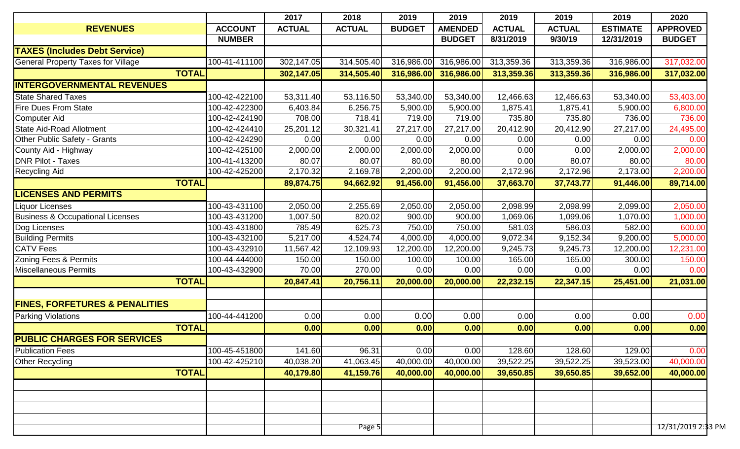| 2017<br>2018<br>2019<br>2019<br>2019<br>2019                                                                                                   | 2019            | 2020            |
|------------------------------------------------------------------------------------------------------------------------------------------------|-----------------|-----------------|
| <b>ACTUAL</b><br><b>AMENDED</b><br><b>REVENUES</b><br><b>ACCOUNT</b><br><b>ACTUAL</b><br><b>BUDGET</b><br><b>ACTUAL</b><br><b>ACTUAL</b>       | <b>ESTIMATE</b> | <b>APPROVED</b> |
| <b>NUMBER</b><br><b>BUDGET</b><br>8/31/2019<br>9/30/19                                                                                         | 12/31/2019      | <b>BUDGET</b>   |
| <b>TAXES (Includes Debt Service)</b>                                                                                                           |                 |                 |
| <b>General Property Taxes for Village</b><br>100-41-411100<br>302,147.05<br>314,505.40<br>316,986.00<br>316,986.00<br>313,359.36<br>313,359.36 | 316,986.00      | 317,032.00      |
| <b>TOTAL</b><br>314,505.40<br>316,986.00<br>316,986.00<br>313,359.36<br>313,359.36<br>302,147.05                                               | 316,986.00      | 317,032.00      |
| <b>INTERGOVERNMENTAL REVENUES</b>                                                                                                              |                 |                 |
| <b>State Shared Taxes</b><br>100-42-422100<br>53,311.40<br>53,116.50<br>53,340.00<br>53,340.00<br>12,466.63<br>12,466.63                       | 53,340.00       | 53,403.00       |
| <b>Fire Dues From State</b><br>100-42-422300<br>6,403.84<br>5,900.00<br>6,256.75<br>5,900.00<br>1,875.41<br>1,875.41                           | 5,900.00        | 6,800.00        |
| 100-42-424190<br>735.80<br>735.80<br>708.00<br>718.41<br>719.00<br>719.00<br><b>Computer Aid</b>                                               | 736.00          | 736.00          |
| 20,412.90<br>20,412.90<br><b>State Aid-Road Allotment</b><br>100-42-424410<br>25,201.12<br>30,321.41<br>27,217.00<br>27,217.00                 | 27,217.00       | 24,495.00       |
| 100-42-424290<br>Other Public Safety - Grants<br>0.00<br>0.00<br>0.00<br>0.00<br>0.00<br>0.00                                                  | 0.00            | 0.00            |
| 2,000.00<br>County Aid - Highway<br>100-42-425100<br>2,000.00<br>2,000.00<br>2,000.00<br>0.00<br>0.00                                          | 2,000.00        | 2,000.00        |
| <b>DNR Pilot - Taxes</b><br>100-41-413200<br>80.07<br>80.07<br>0.00<br>80.07<br>80.00<br>80.00                                                 | 80.00           | 80.00           |
| 100-42-425200<br>2,200.00<br>2,169.78<br>2,200.00<br>2,172.96<br>2,172.96<br><b>Recycling Aid</b><br>2,170.32                                  | 2,173.00        | 2,200.00        |
| <b>TOTAL</b><br>91,456.00<br>89,874.75<br>94,662.92<br>91,456.00<br>37,663.70<br>37,743.77                                                     | 91,446.00       | 89,714.00       |
| <b>LICENSES AND PERMITS</b>                                                                                                                    |                 |                 |
| 100-43-431100<br>2,050.00<br>2,255.69<br>2,050.00<br>2,050.00<br>2,098.99<br>2,098.99<br><b>Liquor Licenses</b>                                | 2,099.00        | 2,050.00        |
| <b>Business &amp; Occupational Licenses</b><br>100-43-431200<br>1,007.50<br>820.02<br>900.00<br>900.00<br>1,069.06<br>1,099.06                 | 1,070.00        | 1,000.00        |
| 750.00<br>Dog Licenses<br>100-43-431800<br>625.73<br>581.03<br>586.03<br>785.49<br>750.00                                                      | 582.00          | 600.00          |
| 9,072.34<br><b>Building Permits</b><br>100-43-432100<br>5,217.00<br>4,524.74<br>4,000.00<br>4,000.00<br>9,152.34                               | 9,200.00        | 5,000.00        |
| 100-43-432910<br><b>CATV Fees</b><br>11,567.42<br>12,200.00<br>12,200.00<br>9,245.73<br>9,245.73<br>12,109.93                                  | 12,200.00       | 12,231.00       |
| 100-44-444000<br>Zoning Fees & Permits<br>150.00<br>150.00<br>100.00<br>100.00<br>165.00<br>165.00                                             | 300.00          | 150.00          |
| 100-43-432900<br><b>Miscellaneous Permits</b><br>70.00<br>270.00<br>0.00<br>0.00<br>0.00<br>0.00                                               | 0.00            | 0.00            |
| <b>TOTAL</b><br>20,847.41<br>20,756.11<br>20,000.00<br>20,000.00<br>22,232.15<br>22,347.15                                                     | 25,451.00       | 21,031.00       |
|                                                                                                                                                |                 |                 |
| <b>FINES, FORFETURES &amp; PENALITIES</b>                                                                                                      |                 |                 |
| 0.00<br>0.00<br>0.00<br>0.00<br>100-44-441200<br>0.00<br>0.00<br><b>Parking Violations</b>                                                     | 0.00            | 0.00            |
| <b>TOTAL</b><br>0.00<br>0.00<br>0.00<br>0.00<br>0.00<br>0.00                                                                                   | 0.00            | 0.00            |
| <b>PUBLIC CHARGES FOR SERVICES</b>                                                                                                             |                 |                 |
| <b>Publication Fees</b><br>100-45-451800<br>141.60<br>96.31<br>0.00<br>128.60<br>128.60<br>0.00                                                | 129.00          | 0.00            |
| 40,000.00<br>100-42-425210<br>41,063.45<br>40,000.00<br>39,522.25<br>39,522.25<br><b>Other Recycling</b><br>40,038.20                          | 39,523.00       | 40,000.00       |
| <b>TOTAL</b><br>40,179.80<br>41,159.76<br>40,000.00<br>39,650.85<br>39,650.85<br>40,000.00                                                     | 39,652.00       | 40,000.00       |
|                                                                                                                                                |                 |                 |
|                                                                                                                                                |                 |                 |
|                                                                                                                                                |                 |                 |
|                                                                                                                                                |                 |                 |
|                                                                                                                                                |                 |                 |